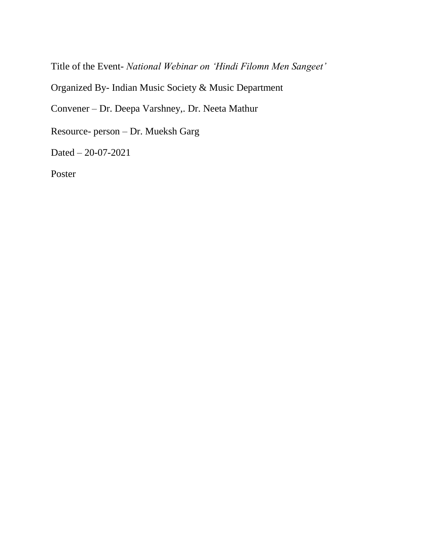Title of the Event- *National Webinar on 'Hindi Filomn Men Sangeet'*

Organized By- Indian Music Society & Music Department

Convener – Dr. Deepa Varshney,. Dr. Neeta Mathur

Resource- person – Dr. Mueksh Garg

Dated – 20-07-2021

Poster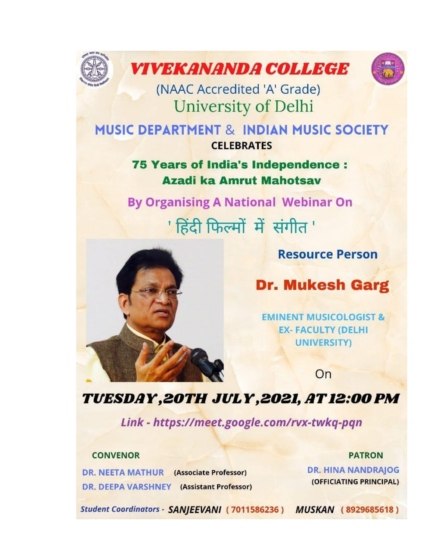

*VIVEKANANDA COLLEGE* 



(NAAC Accredited 'A' Grade) University of Delhi

**MUSIC DEPARTMENT & INDIAN MUSIC SOCIETY CELEBRATES** 

> **75 Years of India's Independence: Azadi ka Amrut Mahotsav**

**By Organising A National Webinar On** 

' हिंदी फिल्मों में संगीत '



**Resource Person** 

**Dr. Mukesh Garg** 

**EMINENT MUSICOLOGIST & EX-FACULTY (DELHI UNIVERSITY)** 

On

## TUESDAY,20TH JULY,2021, AT 12:00 PM

Link - https://meet.google.com/rvx-twkq-pqn

## **CONVENOR**

DR. NEETA MATHUR (Associate Professor) DR. DEEPA VARSHNEY (Assistant Professor) **DR. HINA NANDRAJOG** (OFFICIATING PRINCIPAL)

**PATRON** 

Student Coordinators - SANJEEVANI (7011586236) MUSKAN (8929685618)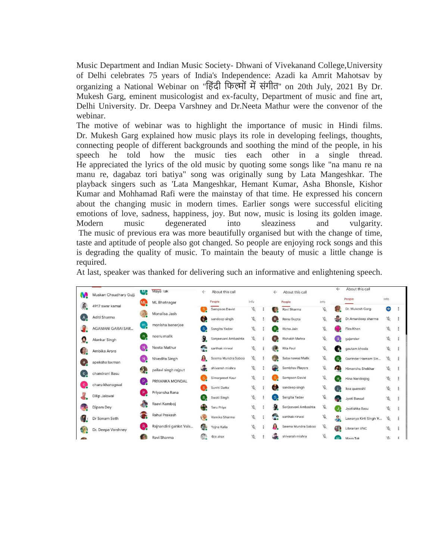Music Department and Indian Music Society- Dhwani of Vivekanand College,University of Delhi celebrates 75 years of India's Independence: Azadi ka Amrit Mahotsav by organizing a National Webinar on "हिंदी फिल्मों में संगीत" on 20th July, 2021 By Dr. Mukesh Garg, eminent musicologist and ex-faculty, Department of music and fine art, Delhi University. Dr. Deepa Varshney and Dr.Neeta Mathur were the convenor of the webinar.

The motive of webinar was to highlight the importance of music in Hindi films. Dr. Mukesh Garg explained how music plays its role in developing feelings, thoughts, connecting people of different backgrounds and soothing the mind of the people, in his speech he told how the music ties each other in a single thread. He appreciated the lyrics of the old music by quoting some songs like "na manu re na manu re, dagabaz tori batiya" song was originally sung by Lata Mangeshkar. The playback singers such as 'Lata Mangeshkar, Hemant Kumar, Asha Bhonsle, Kishor Kumar and Mohhamad Rafi were the mainstay of that time. He expressed his concern about the changing music in modern times. Earlier songs were successful eliciting emotions of love, sadness, happiness, joy. But now, music is losing its golden image. Modern music degenerated into sleaziness and vulgarity. The music of previous era was more beautifully organised but with the change of time, taste and aptitude of people also got changed. So people are enjoying rock songs and this is degrading the quality of music. To maintain the beauty of music a little change is required.

At last, speaker was thanked for delivering such an informative and enlightening speech.

|         | Muskan Chaudhary Gujj. | ∖™ດ                     | Maya lak               | $\leftarrow$ | About this call     |          |                       | $\leftarrow$               | About this call     |                                 | $\leftarrow$          | About this call        |           |                       |
|---------|------------------------|-------------------------|------------------------|--------------|---------------------|----------|-----------------------|----------------------------|---------------------|---------------------------------|-----------------------|------------------------|-----------|-----------------------|
| W.      |                        | <b>ML</b>               | ML Bhatnagar           |              | People              | Info     |                       |                            | People              | Info                            |                       | People                 | Info      |                       |
|         | 4917 swar kamal        |                         |                        |              | Sampson David       | 啓        | ÷                     |                            | Ravi Sharma         | 15                              |                       | Dr. Mukesh Garg        | $\bullet$ | $\vdots$              |
| $A_{c}$ | Aditi Sharma           |                         | Monalisa Jash          | $\mathbf{G}$ | sandeep singh       | 岑        | ÷                     | $R_{\perp}$                | Renu Gupta          | 1/2                             | -24                   | Dr.Amardeep sharma     | 岑.        | ÷                     |
|         | AGAMANI GARAI SAR      | $\mathbf{m}_{\alpha}$   | monisha banerjee       | S.           | Sangita Yadav       | 岑        | ÷                     |                            | Richa Jain          | 岑                               |                       | Fiza Khan              | 学         | $\ddot{\ddot{\cdot}}$ |
| 9.      | Alankar Singh          | $\mathsf{n}$            | neeru malik            |              | Sanjeevani Ambashta | ざ        | $\ddot{\ddot{\cdot}}$ | R                          | Rishabh Mehra       | H.                              | $\mathfrak{g}$        | gajender               | 25        | $\ddot{\ddot{i}}$     |
|         | Ambika Arora           | $\mathbf{v}$            | Neeta Mathur           | <b>STAR</b>  | sarthak nirwal      | H        | ÷                     |                            | Rita Paul           | H.                              | e.                    | gautam khosla          | 岑         | ÷                     |
|         | apeksha laxman         | $N_{\rm cl}$            | Nivedita Singh         | В.           | Seema Mundra Saboo  | 岑        | $\vdots$              |                            | Saba nawaz Malik    | 岑                               | G,                    | Gurinder Harnam Sin    | 岑         | ÷                     |
|         |                        | <b>RA</b>               | pallavi singh rajput   |              | shivansh mishra     | H.       | $\vdots$              |                            | Sambhav Players     | 25                              | CO.                   | Himanshu Shekhar       | H.        | $\ddot{.}$            |
|         | chandrani Basu         |                         | PRIYANKA MONDAL        |              | Simarpreet Kaur     | H.       | š                     |                            | Sampson David       | 25                              | Η,                    | Hina Nandrajog         | 岑         | $\colon$              |
|         | charu khanagwal        | œ.                      |                        |              | Suniti Datta        | 岑        | ÷                     | $\mathcal{R}_{\mathbf{z}}$ | sandeep singh       | 15                              | ( i )                 | ikra quereshi          | 岑         | $\vdots$              |
|         | Dilip Jaiswal          | $\mathsf{P}_\mathsf{c}$ | Priyansha Rana         | ( s.         | Swati Singh         | H.       | $\ddot{\phantom{a}}$  | $\mathsf{S}$               | Sangita Yadav       | 岑                               | ut.                   | Jyoti Bansal           | 1/5       | ÷                     |
|         | Dipam Dey              |                         | Raavi Kamboj           |              | <b>Taru Priya</b>   | 25       | $\vdots$              |                            | Sanjeevani Ambashta | H.                              | J,                    | Jyotishka Basu         | 学         | ÷                     |
|         | Dr Sonam Seth          |                         | Rahul Prakash          | t er         | Vamika Sharma       | <b>Z</b> | $\vdots$              |                            | sarthak nirwal      | $\frac{\partial f}{\partial x}$ |                       | Lawanya Kirti Singh 'K | 岑         | ÷                     |
|         | Dr. Deepa Varshney     | $R_{\rm c}$             | Rajnandini gahlot Vais | q.           | Yojna Kalia         | ざ        | $\vdots$              | Æ.                         | Seema Mundra Saboo  | 15                              | $\left( \cdot\right)$ | Librarian VNC          | 15        |                       |
|         |                        |                         | Ravi Sharma            |              | भैरव अंचल           | H        |                       |                            | shivansh mishra     | 岑                               | (M)                   | Maya Tak               | $Z'$      |                       |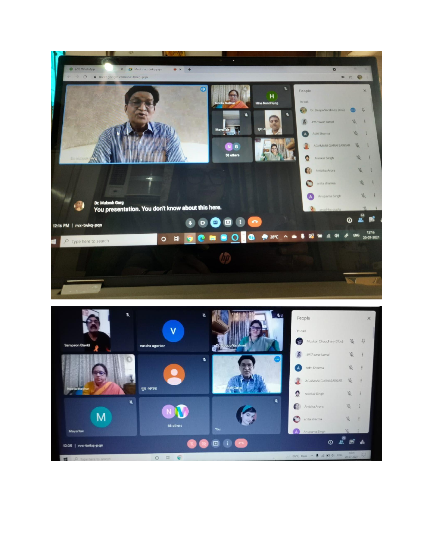